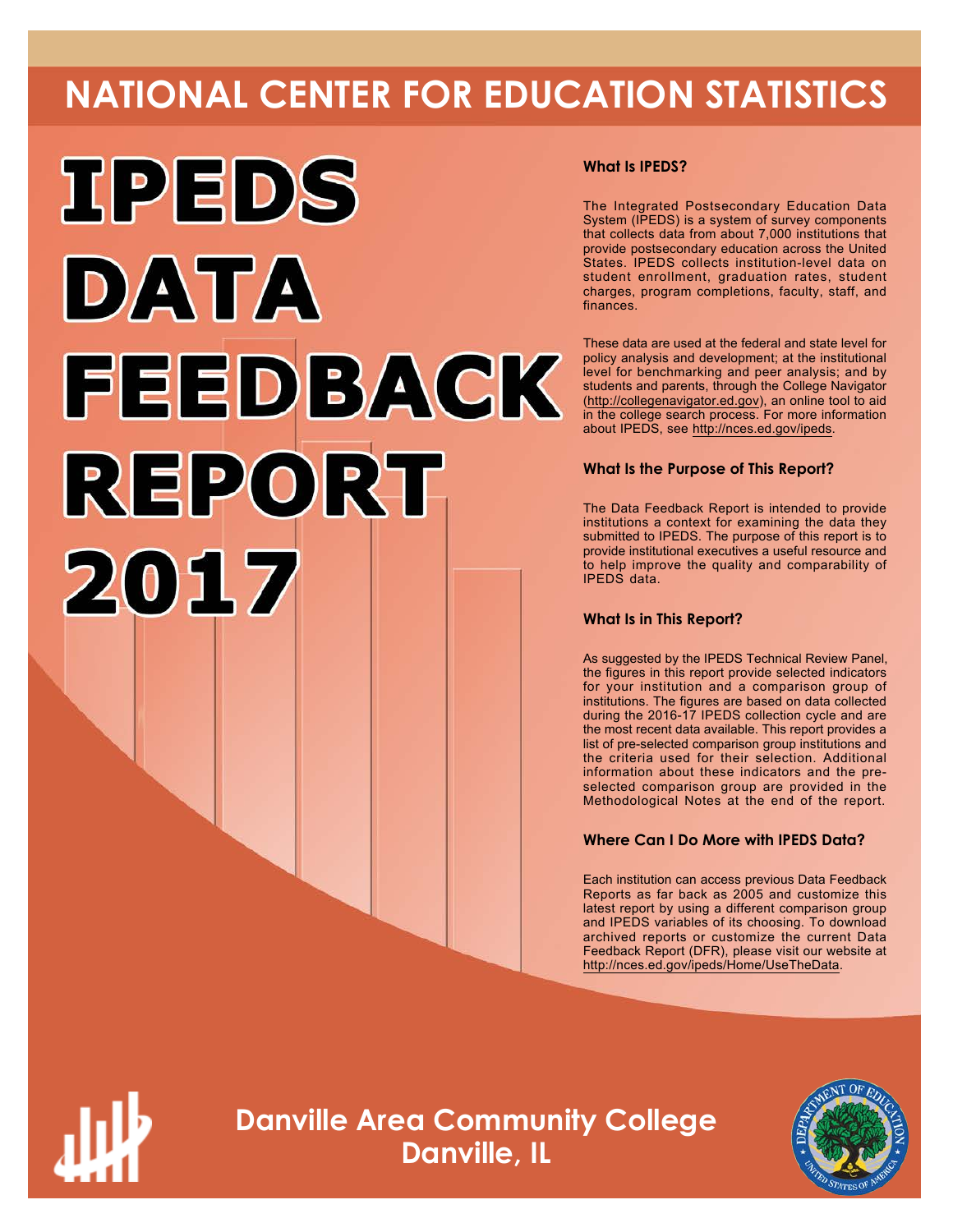# **NATIONAL CENTER FOR EDUCATION STATISTICS**



#### **What Is IPEDS?**

The Integrated Postsecondary Education Data System (IPEDS) is a system of survey components that collects data from about 7,000 institutions that provide postsecondary education across the United States. IPEDS collects institution-level data on student enrollment, graduation rates, student charges, program completions, faculty, staff, and finances.

These data are used at the federal and state level for policy analysis and development; at the institutional level for benchmarking and peer analysis; and by students and parents, through the College Navigator ([http://collegenavigator.ed.gov\)](http://collegenavigator.ed.gov), an online tool to aid in the college search process. For more information about IPEDS, see [http://nces.ed.gov/ipeds.](http://nces.ed.gov/ipeds)

#### **What Is the Purpose of This Report?**

The Data Feedback Report is intended to provide institutions a context for examining the data they submitted to IPEDS. The purpose of this report is to provide institutional executives a useful resource and to help improve the quality and comparability of IPEDS data.

#### **What Is in This Report?**

As suggested by the IPEDS Technical Review Panel, the figures in this report provide selected indicators for your institution and a comparison group of institutions. The figures are based on data collected during the 2016-17 IPEDS collection cycle and are the most recent data available. This report provides a list of pre-selected comparison group institutions and the criteria used for their selection. Additional information about these indicators and the preselected comparison group are provided in the Methodological Notes at the end of the report.

#### **Where Can I Do More with IPEDS Data?**

Each institution can access previous Data Feedback Reports as far back as 2005 and customize this latest report by using a different comparison group and IPEDS variables of its choosing. To download archived reports or customize the current Data Feedback Report (DFR), please visit our website at <http://nces.ed.gov/ipeds/Home/UseTheData>.



**Danville Area Community College Danville, IL**

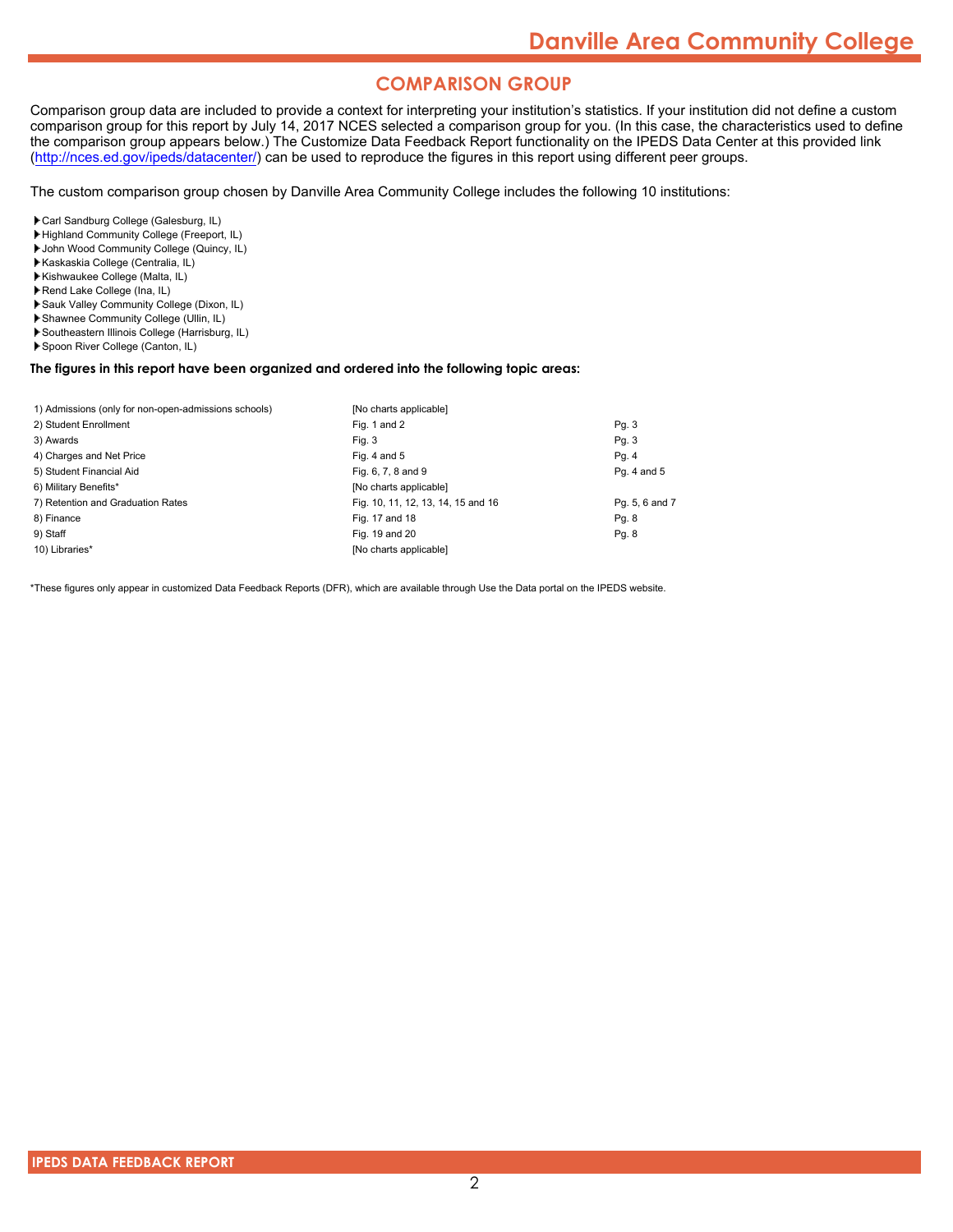#### **COMPARISON GROUP**

Comparison group data are included to provide a context for interpreting your institution's statistics. If your institution did not define a custom comparison group for this report by July 14, 2017 NCES selected a comparison group for you. (In this case, the characteristics used to define the comparison group appears below.) The Customize Data Feedback Report functionality on the IPEDS Data Center at this provided link [\(http://nces.ed.gov/ipeds/datacenter/\)](http://nces.ed.gov/ipeds/datacenter/) can be used to reproduce the figures in this report using different peer groups.

The custom comparison group chosen by Danville Area Community College includes the following 10 institutions:

Carl Sandburg College (Galesburg, IL)

- Highland Community College (Freeport, IL)
- John Wood Community College (Quincy, IL)
- Kaskaskia College (Centralia, IL)
- Kishwaukee College (Malta, IL)
- Rend Lake College (Ina, IL)
- Sauk Valley Community College (Dixon, IL)
- Shawnee Community College (Ullin, IL)
- Southeastern Illinois College (Harrisburg, IL)
- Spoon River College (Canton, IL)

#### **The figures in this report have been organized and ordered into the following topic areas:**

| 1) Admissions (only for non-open-admissions schools) | [No charts applicable]             |                |
|------------------------------------------------------|------------------------------------|----------------|
| 2) Student Enrollment                                | Fig. 1 and 2                       | Pq. 3          |
| 3) Awards                                            | Fig. 3                             | Pq. 3          |
| 4) Charges and Net Price                             | Fig. 4 and $5$                     | Pg. 4          |
| 5) Student Financial Aid                             | Fig. 6, 7, 8 and 9                 | Pg. 4 and 5    |
| 6) Military Benefits*                                | [No charts applicable]             |                |
| 7) Retention and Graduation Rates                    | Fig. 10, 11, 12, 13, 14, 15 and 16 | Pg. 5, 6 and 7 |
| 8) Finance                                           | Fig. 17 and 18                     | Pg. 8          |
| 9) Staff                                             | Fig. 19 and 20                     | Pg. 8          |
| 10) Libraries*                                       | [No charts applicable]             |                |

\*These figures only appear in customized Data Feedback Reports (DFR), which are available through Use the Data portal on the IPEDS website.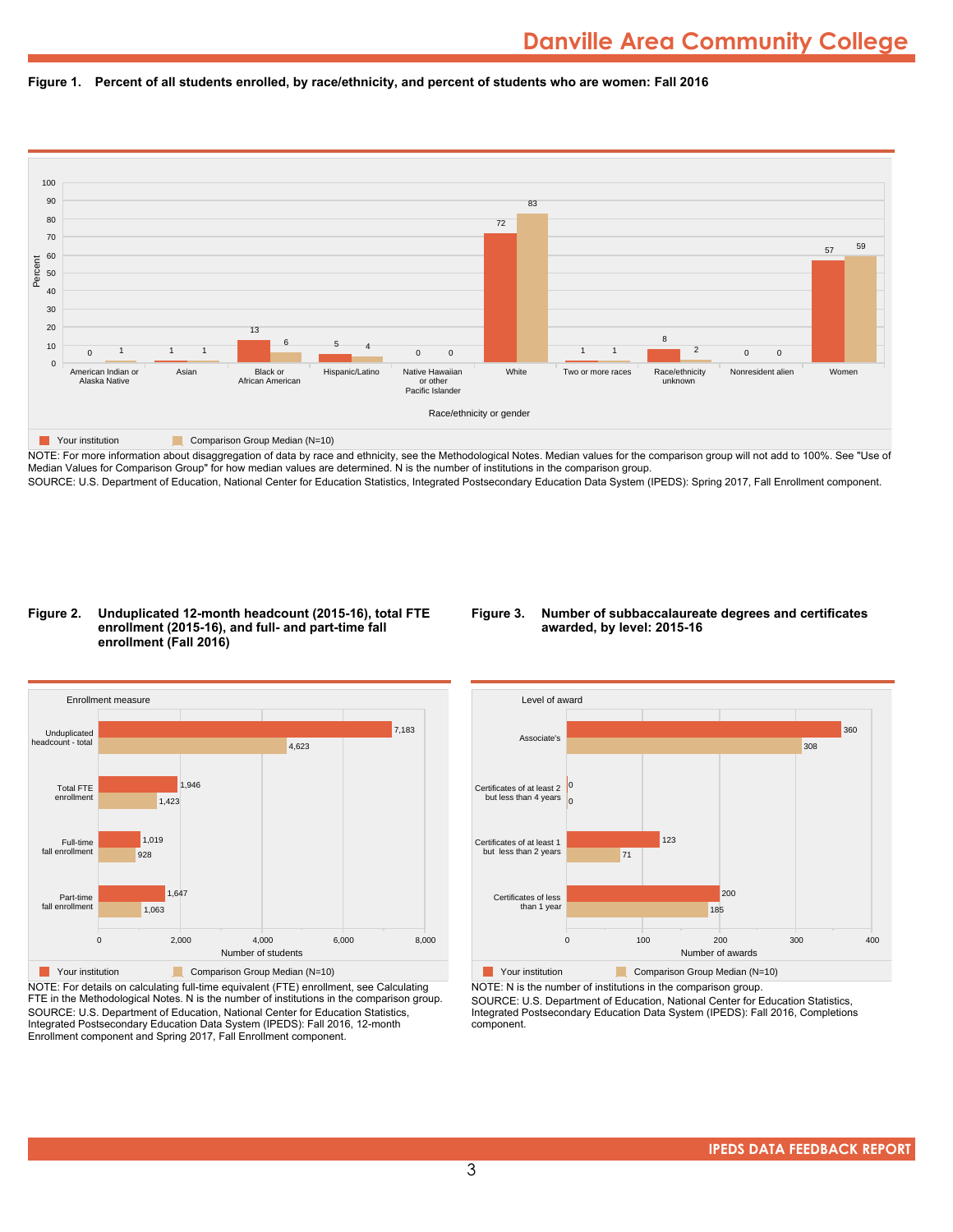



NOTE: For more information about disaggregation of data by race and ethnicity, see the Methodological Notes. Median values for the comparison group will not add to 100%. See "Use of Median Values for Comparison Group" for how median values are determined. N is the number of institutions in the comparison group. SOURCE: U.S. Department of Education, National Center for Education Statistics, Integrated Postsecondary Education Data System (IPEDS): Spring 2017, Fall Enrollment component.

#### **Figure 2. Unduplicated 12-month headcount (2015-16), total FTE enrollment (2015-16), and full- and part-time fall enrollment (Fall 2016)**

#### **Figure 3. Number of subbaccalaureate degrees and certificates awarded, by level: 2015-16**



NOTE: For details on calculating full-time equivalent (FTE) enrollment, see Calculating FTE in the Methodological Notes. N is the number of institutions in the comparison group. SOURCE: U.S. Department of Education, National Center for Education Statistics, Integrated Postsecondary Education Data System (IPEDS): Fall 2016, 12-month Enrollment component and Spring 2017, Fall Enrollment component.



**The Comparison Group Median (N=10)** Comparison Group Median (N=10) NOTE: N is the number of institutions in the comparison group.

SOURCE: U.S. Department of Education, National Center for Education Statistics, Integrated Postsecondary Education Data System (IPEDS): Fall 2016, Completions component.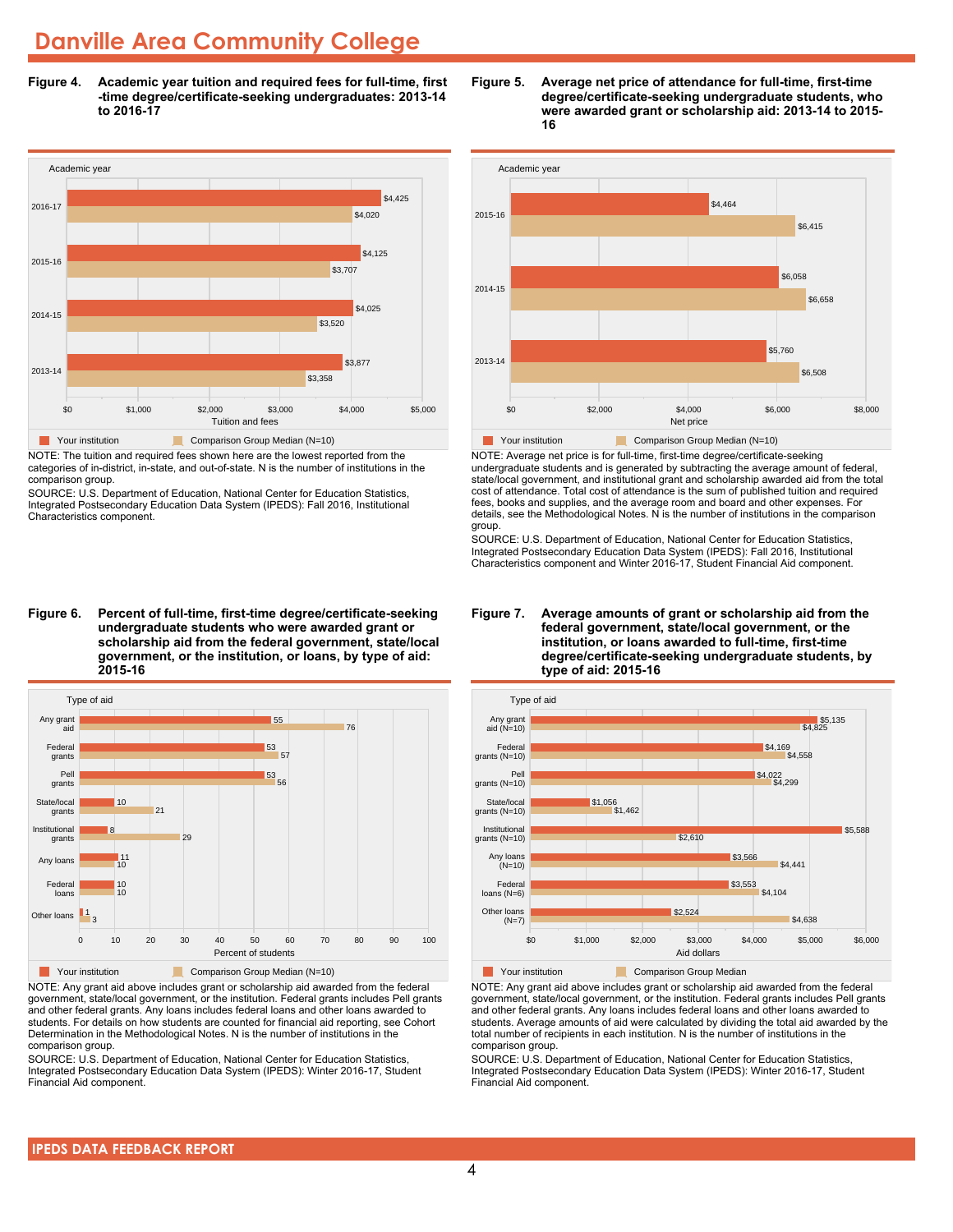**Figure 4. Academic year tuition and required fees for full-time, first -time degree/certificate-seeking undergraduates: 2013-14 to 2016-17**



NOTE: The tuition and required fees shown here are the lowest reported from the categories of in-district, in-state, and out-of-state. N is the number of institutions in the comparison group.

SOURCE: U.S. Department of Education, National Center for Education Statistics, Integrated Postsecondary Education Data System (IPEDS): Fall 2016, Institutional Characteristics component.

**Figure 6. Percent of full-time, first-time degree/certificate-seeking undergraduate students who were awarded grant or scholarship aid from the federal government, state/local government, or the institution, or loans, by type of aid: 2015-16**



NOTE: Any grant aid above includes grant or scholarship aid awarded from the federal government, state/local government, or the institution. Federal grants includes Pell grants and other federal grants. Any loans includes federal loans and other loans awarded to students. For details on how students are counted for financial aid reporting, see Cohort Determination in the Methodological Notes. N is the number of institutions in the comparison group.

SOURCE: U.S. Department of Education, National Center for Education Statistics, Integrated Postsecondary Education Data System (IPEDS): Winter 2016-17, Student Financial Aid component.





NOTE: Average net price is for full-time, first-time degree/certificate-seeking undergraduate students and is generated by subtracting the average amount of federal, state/local government, and institutional grant and scholarship awarded aid from the total cost of attendance. Total cost of attendance is the sum of published tuition and required fees, books and supplies, and the average room and board and other expenses. For details, see the Methodological Notes. N is the number of institutions in the comparison group.

SOURCE: U.S. Department of Education, National Center for Education Statistics, Integrated Postsecondary Education Data System (IPEDS): Fall 2016, Institutional Characteristics component and Winter 2016-17, Student Financial Aid component.





**The Comparison Group Median**<br> **Comparison Group Median** 

NOTE: Any grant aid above includes grant or scholarship aid awarded from the federal government, state/local government, or the institution. Federal grants includes Pell grants and other federal grants. Any loans includes federal loans and other loans awarded to students. Average amounts of aid were calculated by dividing the total aid awarded by the total number of recipients in each institution. N is the number of institutions in the comparison group.

SOURCE: U.S. Department of Education, National Center for Education Statistics, Integrated Postsecondary Education Data System (IPEDS): Winter 2016-17, Student Financial Aid component.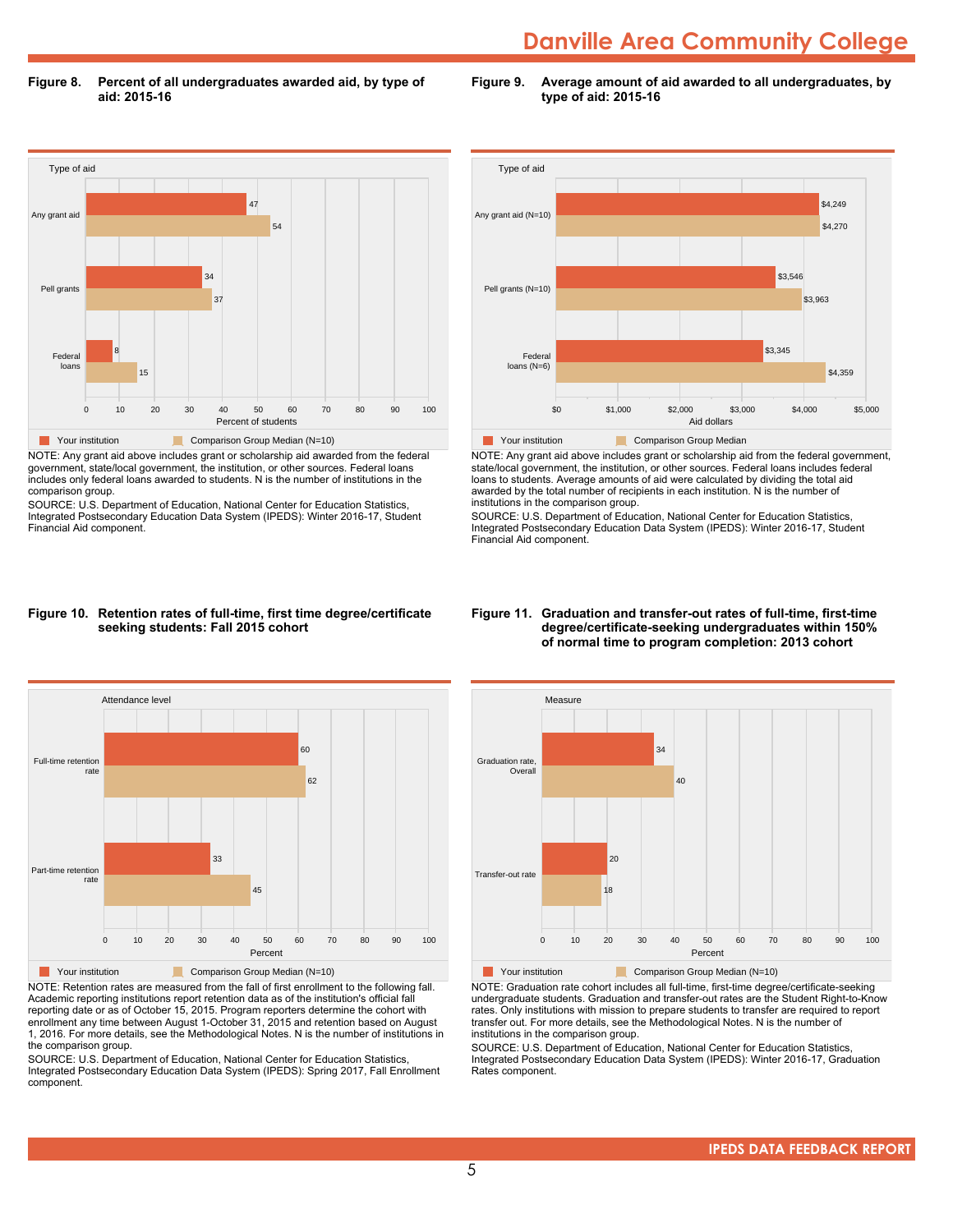**Figure 8. Percent of all undergraduates awarded aid, by type of aid: 2015-16**

**Figure 9. Average amount of aid awarded to all undergraduates, by type of aid: 2015-16**



NOTE: Any grant aid above includes grant or scholarship aid awarded from the federal government, state/local government, the institution, or other sources. Federal loans includes only federal loans awarded to students. N is the number of institutions in the comparison group.

SOURCE: U.S. Department of Education, National Center for Education Statistics, Integrated Postsecondary Education Data System (IPEDS): Winter 2016-17, Student Financial Aid component.



NOTE: Any grant aid above includes grant or scholarship aid from the federal government, state/local government, the institution, or other sources. Federal loans includes federal loans to students. Average amounts of aid were calculated by dividing the total aid awarded by the total number of recipients in each institution. N is the number of institutions in the comparison group.

SOURCE: U.S. Department of Education, National Center for Education Statistics, Integrated Postsecondary Education Data System (IPEDS): Winter 2016-17, Student Financial Aid component.

#### **Figure 10. Retention rates of full-time, first time degree/certificate seeking students: Fall 2015 cohort**



NOTE: Retention rates are measured from the fall of first enrollment to the following fall. Academic reporting institutions report retention data as of the institution's official fall reporting date or as of October 15, 2015. Program reporters determine the cohort with enrollment any time between August 1-October 31, 2015 and retention based on August 1, 2016. For more details, see the Methodological Notes. N is the number of institutions in the comparison group.

SOURCE: U.S. Department of Education, National Center for Education Statistics, Integrated Postsecondary Education Data System (IPEDS): Spring 2017, Fall Enrollment component.

#### **Figure 11. Graduation and transfer-out rates of full-time, first-time degree/certificate-seeking undergraduates within 150% of normal time to program completion: 2013 cohort**



NOTE: Graduation rate cohort includes all full-time, first-time degree/certificate-seeking undergraduate students. Graduation and transfer-out rates are the Student Right-to-Know rates. Only institutions with mission to prepare students to transfer are required to report transfer out. For more details, see the Methodological Notes. N is the number of institutions in the comparison group.

SOURCE: U.S. Department of Education, National Center for Education Statistics, Integrated Postsecondary Education Data System (IPEDS): Winter 2016-17, Graduation Rates component.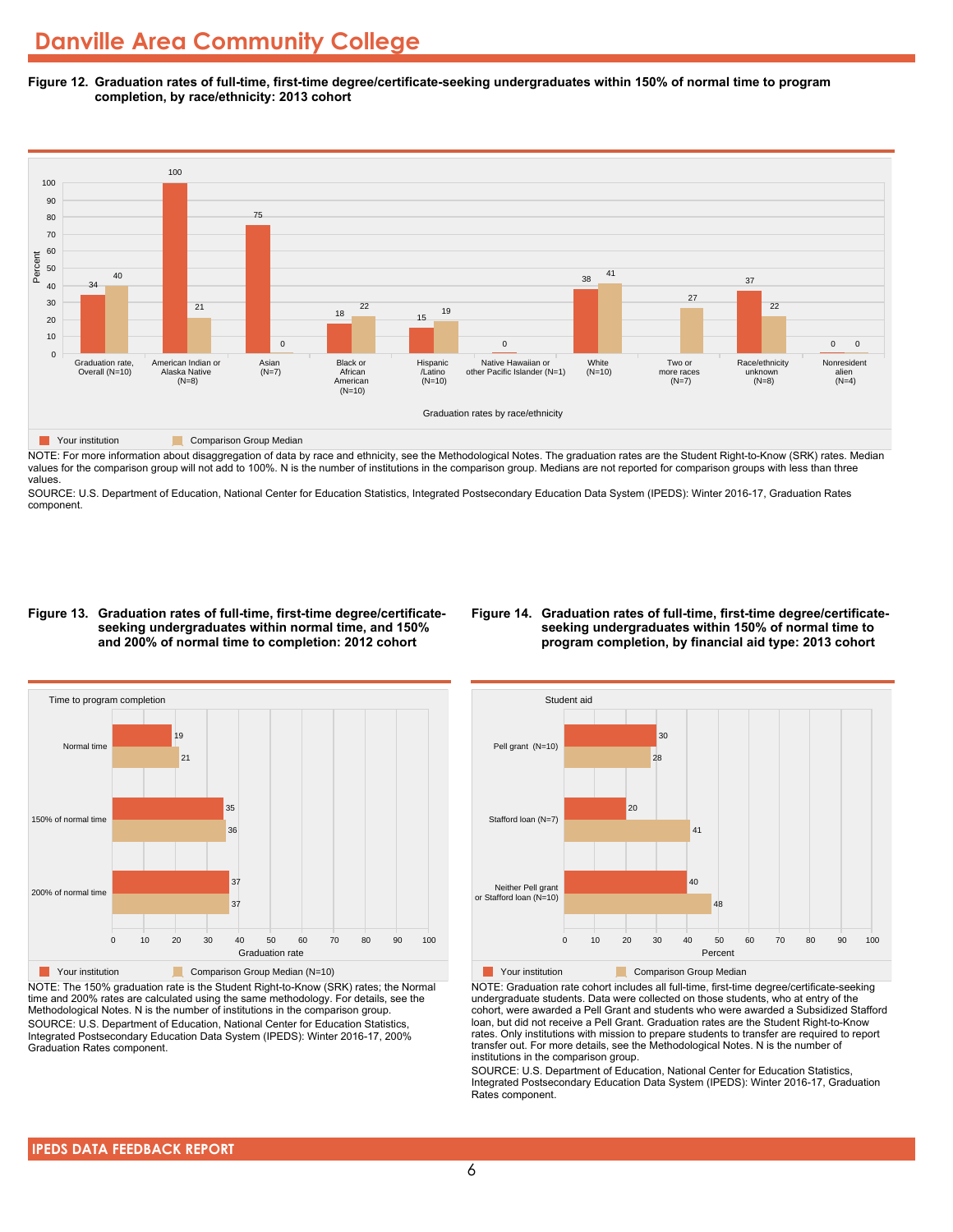**Figure 12. Graduation rates of full-time, first-time degree/certificate-seeking undergraduates within 150% of normal time to program completion, by race/ethnicity: 2013 cohort**



NOTE: For more information about disaggregation of data by race and ethnicity, see the Methodological Notes. The graduation rates are the Student Right-to-Know (SRK) rates. Median values for the comparison group will not add to 100%. N is the number of institutions in the comparison group. Medians are not reported for comparison groups with less than three values.

SOURCE: U.S. Department of Education, National Center for Education Statistics, Integrated Postsecondary Education Data System (IPEDS): Winter 2016-17, Graduation Rates component.

#### **Figure 13. Graduation rates of full-time, first-time degree/certificateseeking undergraduates within normal time, and 150% and 200% of normal time to completion: 2012 cohort**

#### **Figure 14. Graduation rates of full-time, first-time degree/certificateseeking undergraduates within 150% of normal time to program completion, by financial aid type: 2013 cohort**



NOTE: The 150% graduation rate is the Student Right-to-Know (SRK) rates; the Normal time and 200% rates are calculated using the same methodology. For details, see the Methodological Notes. N is the number of institutions in the comparison group. SOURCE: U.S. Department of Education, National Center for Education Statistics, Integrated Postsecondary Education Data System (IPEDS): Winter 2016-17, 200% Graduation Rates component.



NOTE: Graduation rate cohort includes all full-time, first-time degree/certificate-seeking undergraduate students. Data were collected on those students, who at entry of the cohort, were awarded a Pell Grant and students who were awarded a Subsidized Stafford loan, but did not receive a Pell Grant. Graduation rates are the Student Right-to-Know rates. Only institutions with mission to prepare students to transfer are required to report transfer out. For more details, see the Methodological Notes. N is the number of institutions in the comparison group.

SOURCE: U.S. Department of Education, National Center for Education Statistics, Integrated Postsecondary Education Data System (IPEDS): Winter 2016-17, Graduation Rates component.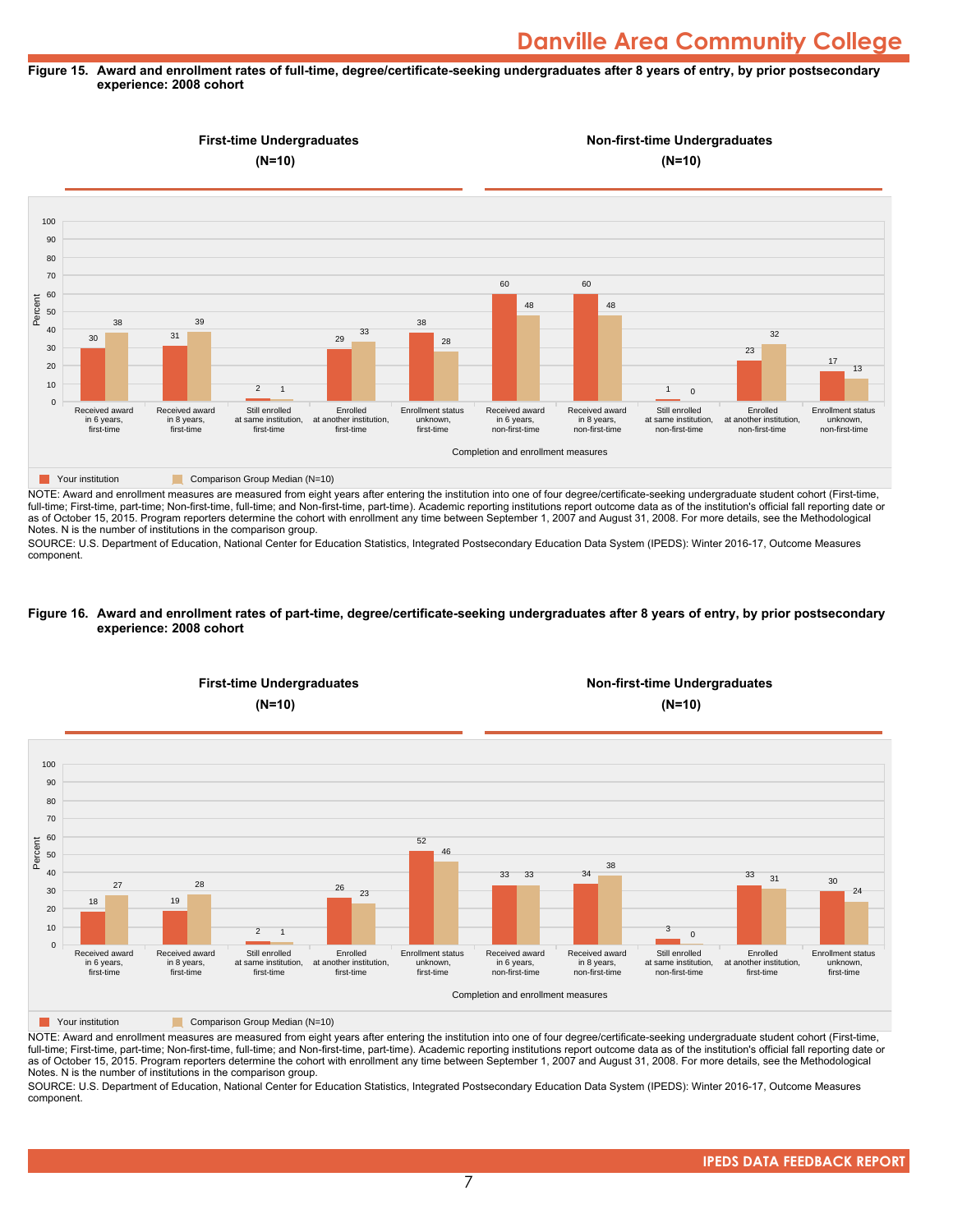#### **Figure 15. Award and enrollment rates of full-time, degree/certificate-seeking undergraduates after 8 years of entry, by prior postsecondary experience: 2008 cohort**



NOTE: Award and enrollment measures are measured from eight years after entering the institution into one of four degree/certificate-seeking undergraduate student cohort (First-time, full-time; First-time, part-time; Non-first-time, full-time; and Non-first-time, part-time). Academic reporting institutions report outcome data as of the institution's official fall reporting date or as of October 15, 2015. Program reporters determine the cohort with enrollment any time between September 1, 2007 and August 31, 2008. For more details, see the Methodological Notes. N is the number of institutions in the comparison group.

SOURCE: U.S. Department of Education, National Center for Education Statistics, Integrated Postsecondary Education Data System (IPEDS): Winter 2016-17, Outcome Measures component.

#### **Figure 16. Award and enrollment rates of part-time, degree/certificate-seeking undergraduates after 8 years of entry, by prior postsecondary experience: 2008 cohort**



NOTE: Award and enrollment measures are measured from eight years after entering the institution into one of four degree/certificate-seeking undergraduate student cohort (First-time, full-time; First-time, part-time; Non-first-time, full-time; and Non-first-time, part-time). Academic reporting institutions report outcome data as of the institution's official fall reporting date or as of October 15, 2015. Program reporters determine the cohort with enrollment any time between September 1, 2007 and August 31, 2008. For more details, see the Methodological Notes. N is the number of institutions in the comparison group.

SOURCE: U.S. Department of Education, National Center for Education Statistics, Integrated Postsecondary Education Data System (IPEDS): Winter 2016-17, Outcome Measures component.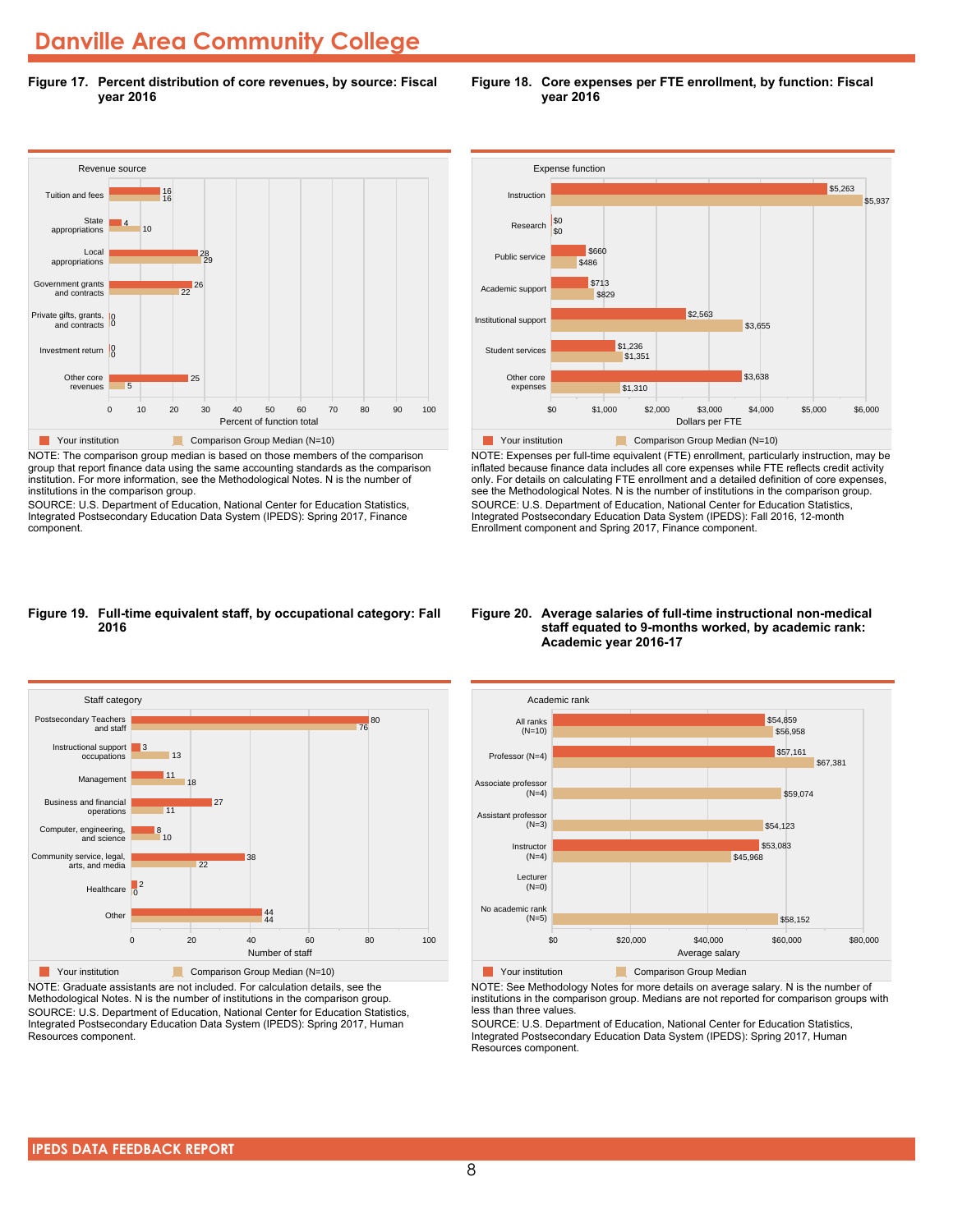**Figure 17. Percent distribution of core revenues, by source: Fiscal year 2016**



NOTE: The comparison group median is based on those members of the comparison group that report finance data using the same accounting standards as the comparison institution. For more information, see the Methodological Notes. N is the number of institutions in the comparison group.

SOURCE: U.S. Department of Education, National Center for Education Statistics, Integrated Postsecondary Education Data System (IPEDS): Spring 2017, Finance component.





NOTE: Expenses per full-time equivalent (FTE) enrollment, particularly instruction, may be inflated because finance data includes all core expenses while FTE reflects credit activity only. For details on calculating FTE enrollment and a detailed definition of core expenses, see the Methodological Notes. N is the number of institutions in the comparison group. SOURCE: U.S. Department of Education, National Center for Education Statistics, Integrated Postsecondary Education Data System (IPEDS): Fall 2016, 12-month Enrollment component and Spring 2017, Finance component.

#### **Figure 19. Full-time equivalent staff, by occupational category: Fall 2016**



NOTE: Graduate assistants are not included. For calculation details, see the Methodological Notes. N is the number of institutions in the comparison group. SOURCE: U.S. Department of Education, National Center for Education Statistics, Integrated Postsecondary Education Data System (IPEDS): Spring 2017, Human Resources component.

#### **Figure 20. Average salaries of full-time instructional non-medical staff equated to 9-months worked, by academic rank: Academic year 2016-17**



NOTE: See Methodology Notes for more details on average salary. N is the number of institutions in the comparison group. Medians are not reported for comparison groups with less than three values.

SOURCE: U.S. Department of Education, National Center for Education Statistics, Integrated Postsecondary Education Data System (IPEDS): Spring 2017, Human Resources component.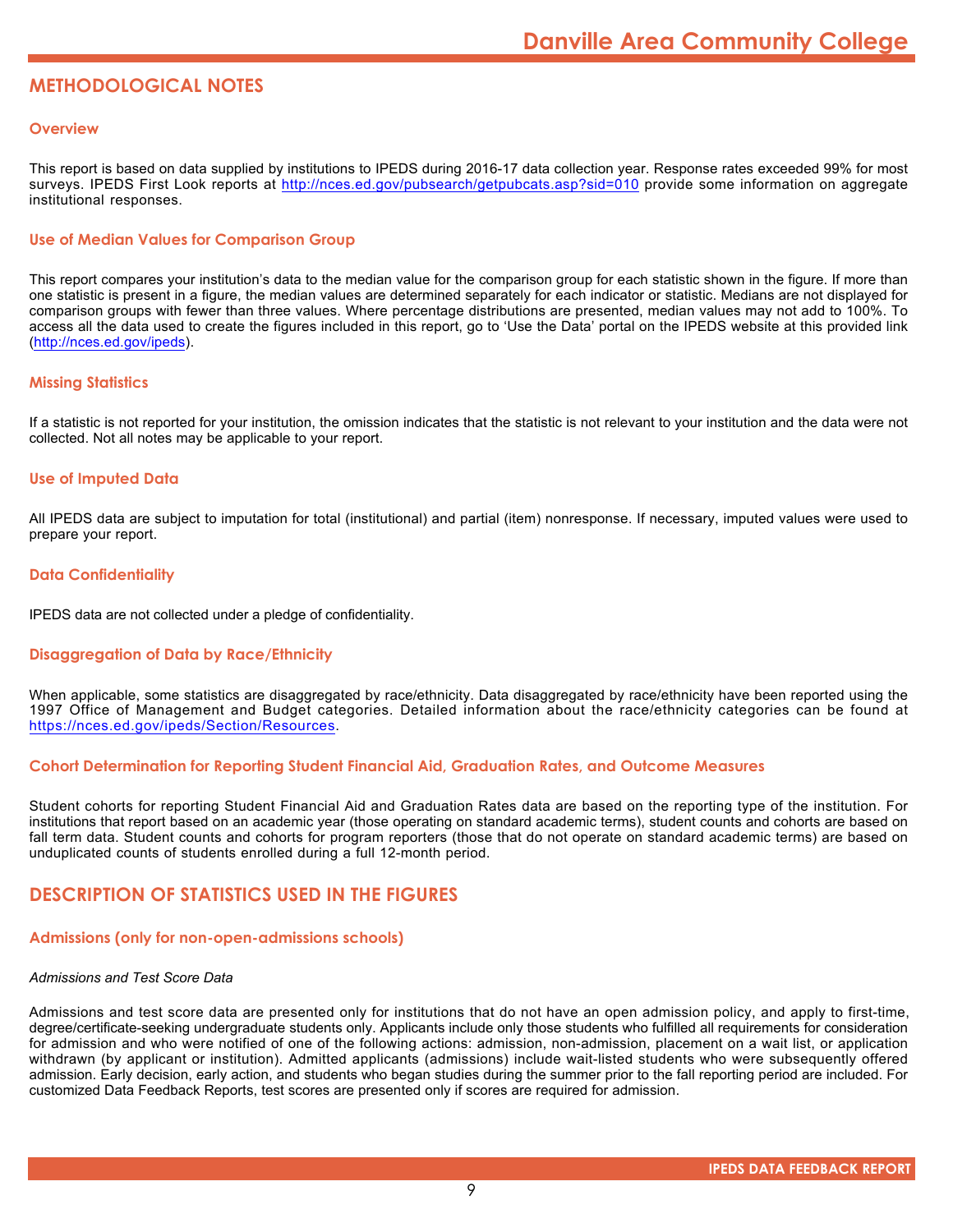### **METHODOLOGICAL NOTES**

#### **Overview**

This report is based on data supplied by institutions to IPEDS during 2016-17 data collection year. Response rates exceeded 99% for most surveys. IPEDS First Look reports at <http://nces.ed.gov/pubsearch/getpubcats.asp?sid=010> provide some information on aggregate institutional responses.

#### **Use of Median Values for Comparison Group**

This report compares your institution's data to the median value for the comparison group for each statistic shown in the figure. If more than one statistic is present in a figure, the median values are determined separately for each indicator or statistic. Medians are not displayed for comparison groups with fewer than three values. Where percentage distributions are presented, median values may not add to 100%. To access all the data used to create the figures included in this report, go to 'Use the Data' portal on the IPEDS website at this provided link (<http://nces.ed.gov/ipeds>).

#### **Missing Statistics**

If a statistic is not reported for your institution, the omission indicates that the statistic is not relevant to your institution and the data were not collected. Not all notes may be applicable to your report.

#### **Use of Imputed Data**

All IPEDS data are subject to imputation for total (institutional) and partial (item) nonresponse. If necessary, imputed values were used to prepare your report.

#### **Data Confidentiality**

IPEDS data are not collected under a pledge of confidentiality.

#### **Disaggregation of Data by Race/Ethnicity**

When applicable, some statistics are disaggregated by race/ethnicity. Data disaggregated by race/ethnicity have been reported using the 1997 Office of Management and Budget categories. Detailed information about the race/ethnicity categories can be found at <https://nces.ed.gov/ipeds/Section/Resources>.

#### **Cohort Determination for Reporting Student Financial Aid, Graduation Rates, and Outcome Measures**

Student cohorts for reporting Student Financial Aid and Graduation Rates data are based on the reporting type of the institution. For institutions that report based on an academic year (those operating on standard academic terms), student counts and cohorts are based on fall term data. Student counts and cohorts for program reporters (those that do not operate on standard academic terms) are based on unduplicated counts of students enrolled during a full 12-month period.

#### **DESCRIPTION OF STATISTICS USED IN THE FIGURES**

#### **Admissions (only for non-open-admissions schools)**

#### *Admissions and Test Score Data*

Admissions and test score data are presented only for institutions that do not have an open admission policy, and apply to first-time, degree/certificate-seeking undergraduate students only. Applicants include only those students who fulfilled all requirements for consideration for admission and who were notified of one of the following actions: admission, non-admission, placement on a wait list, or application withdrawn (by applicant or institution). Admitted applicants (admissions) include wait-listed students who were subsequently offered admission. Early decision, early action, and students who began studies during the summer prior to the fall reporting period are included. For customized Data Feedback Reports, test scores are presented only if scores are required for admission.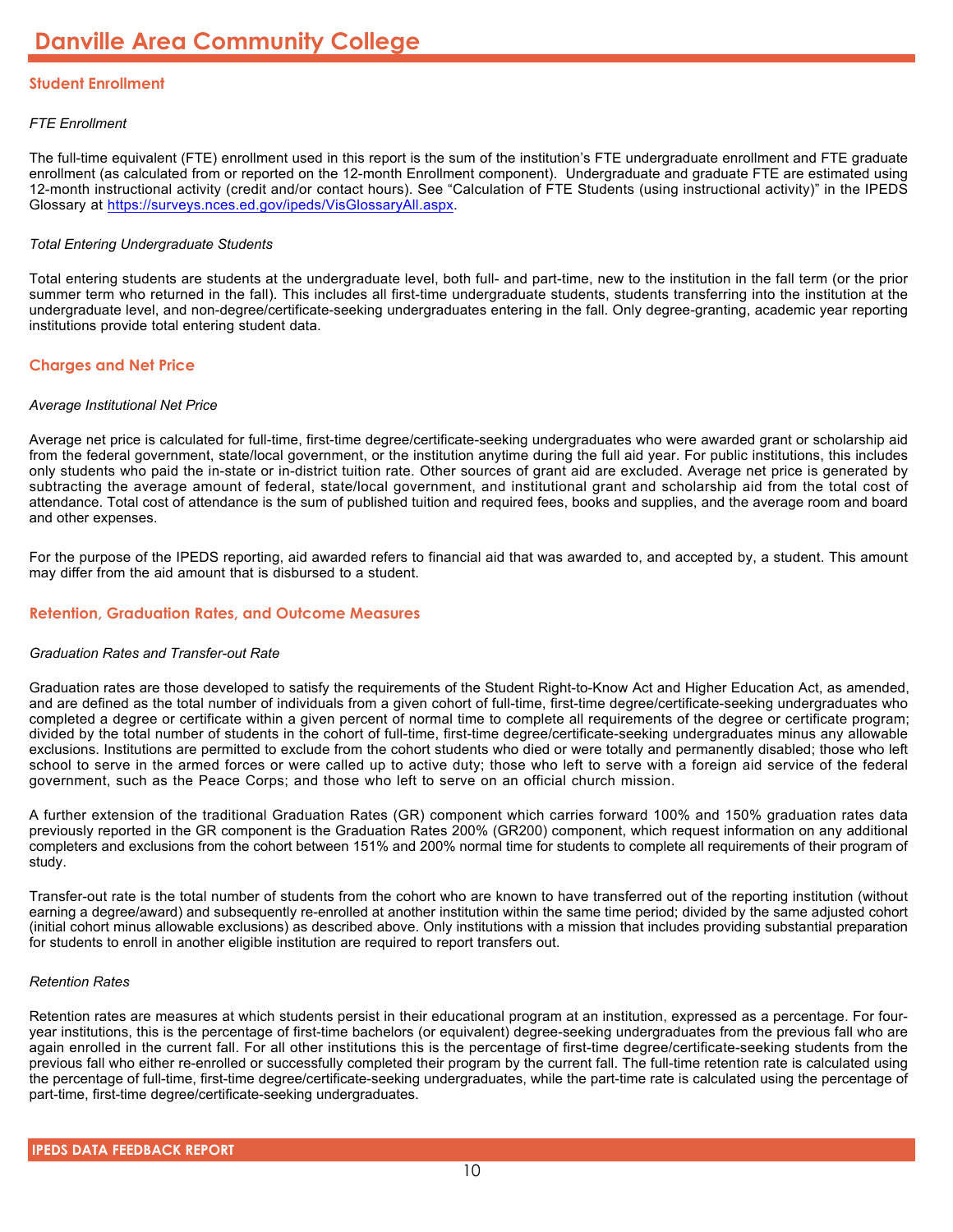#### **Student Enrollment**

#### *FTE Enrollment*

The full-time equivalent (FTE) enrollment used in this report is the sum of the institution's FTE undergraduate enrollment and FTE graduate enrollment (as calculated from or reported on the 12-month Enrollment component). Undergraduate and graduate FTE are estimated using 12-month instructional activity (credit and/or contact hours). See "Calculation of FTE Students (using instructional activity)" in the IPEDS Glossary at <https://surveys.nces.ed.gov/ipeds/VisGlossaryAll.aspx>.

#### *Total Entering Undergraduate Students*

Total entering students are students at the undergraduate level, both full- and part-time, new to the institution in the fall term (or the prior summer term who returned in the fall). This includes all first-time undergraduate students, students transferring into the institution at the undergraduate level, and non-degree/certificate-seeking undergraduates entering in the fall. Only degree-granting, academic year reporting institutions provide total entering student data.

#### **Charges and Net Price**

#### *Average Institutional Net Price*

Average net price is calculated for full-time, first-time degree/certificate-seeking undergraduates who were awarded grant or scholarship aid from the federal government, state/local government, or the institution anytime during the full aid year. For public institutions, this includes only students who paid the in-state or in-district tuition rate. Other sources of grant aid are excluded. Average net price is generated by subtracting the average amount of federal, state/local government, and institutional grant and scholarship aid from the total cost of attendance. Total cost of attendance is the sum of published tuition and required fees, books and supplies, and the average room and board and other expenses.

For the purpose of the IPEDS reporting, aid awarded refers to financial aid that was awarded to, and accepted by, a student. This amount may differ from the aid amount that is disbursed to a student.

#### **Retention, Graduation Rates, and Outcome Measures**

#### *Graduation Rates and Transfer-out Rate*

Graduation rates are those developed to satisfy the requirements of the Student Right-to-Know Act and Higher Education Act, as amended, and are defined as the total number of individuals from a given cohort of full-time, first-time degree/certificate-seeking undergraduates who completed a degree or certificate within a given percent of normal time to complete all requirements of the degree or certificate program; divided by the total number of students in the cohort of full-time, first-time degree/certificate-seeking undergraduates minus any allowable exclusions. Institutions are permitted to exclude from the cohort students who died or were totally and permanently disabled; those who left school to serve in the armed forces or were called up to active duty; those who left to serve with a foreign aid service of the federal government, such as the Peace Corps; and those who left to serve on an official church mission.

A further extension of the traditional Graduation Rates (GR) component which carries forward 100% and 150% graduation rates data previously reported in the GR component is the Graduation Rates 200% (GR200) component, which request information on any additional completers and exclusions from the cohort between 151% and 200% normal time for students to complete all requirements of their program of study.

Transfer-out rate is the total number of students from the cohort who are known to have transferred out of the reporting institution (without earning a degree/award) and subsequently re-enrolled at another institution within the same time period; divided by the same adjusted cohort (initial cohort minus allowable exclusions) as described above. Only institutions with a mission that includes providing substantial preparation for students to enroll in another eligible institution are required to report transfers out.

#### *Retention Rates*

Retention rates are measures at which students persist in their educational program at an institution, expressed as a percentage. For fouryear institutions, this is the percentage of first-time bachelors (or equivalent) degree-seeking undergraduates from the previous fall who are again enrolled in the current fall. For all other institutions this is the percentage of first-time degree/certificate-seeking students from the previous fall who either re-enrolled or successfully completed their program by the current fall. The full-time retention rate is calculated using the percentage of full-time, first-time degree/certificate-seeking undergraduates, while the part-time rate is calculated using the percentage of part-time, first-time degree/certificate-seeking undergraduates.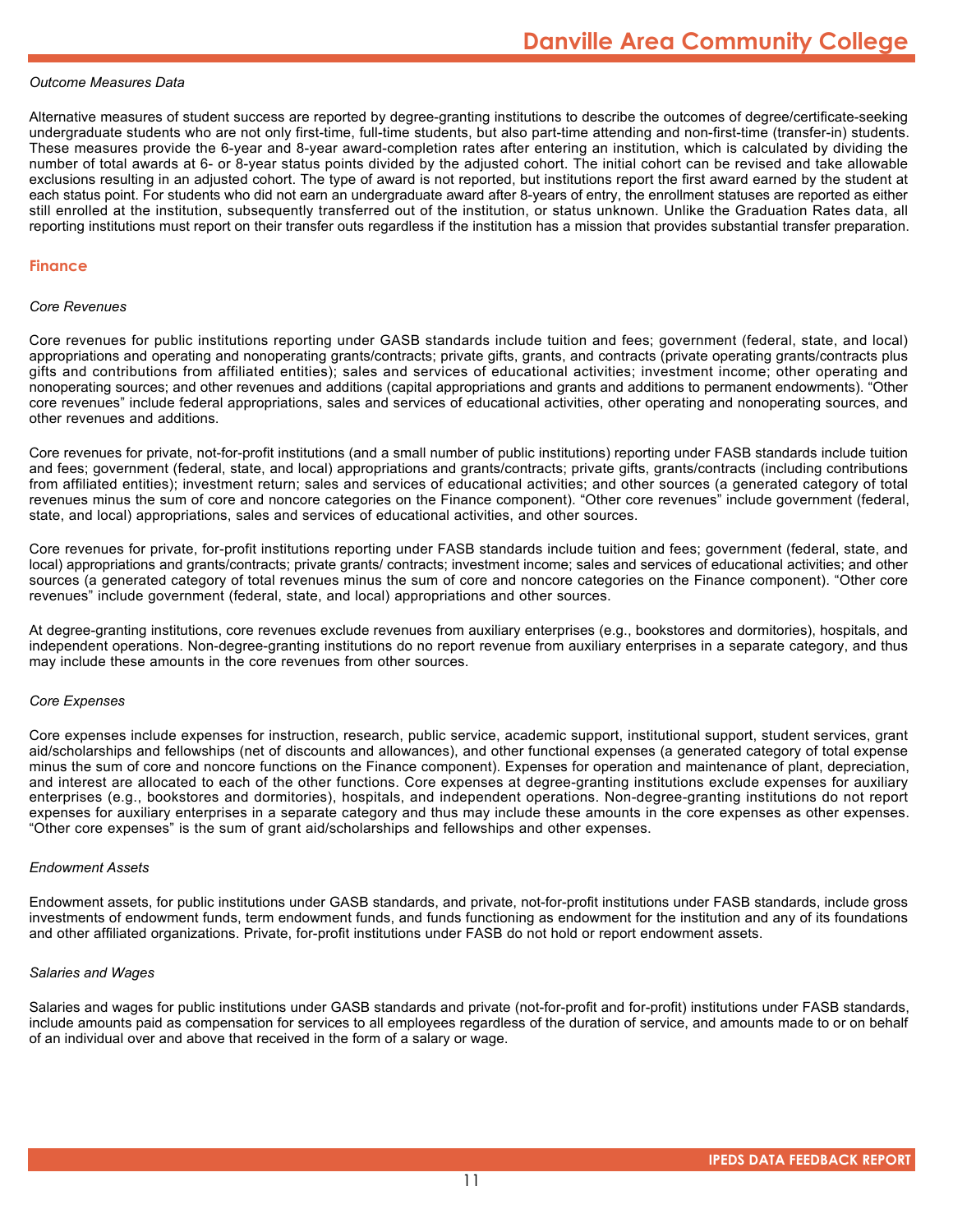#### *Outcome Measures Data*

Alternative measures of student success are reported by degree-granting institutions to describe the outcomes of degree/certificate-seeking undergraduate students who are not only first-time, full-time students, but also part-time attending and non-first-time (transfer-in) students. These measures provide the 6-year and 8-year award-completion rates after entering an institution, which is calculated by dividing the number of total awards at 6- or 8-year status points divided by the adjusted cohort. The initial cohort can be revised and take allowable exclusions resulting in an adjusted cohort. The type of award is not reported, but institutions report the first award earned by the student at each status point. For students who did not earn an undergraduate award after 8-years of entry, the enrollment statuses are reported as either still enrolled at the institution, subsequently transferred out of the institution, or status unknown. Unlike the Graduation Rates data, all reporting institutions must report on their transfer outs regardless if the institution has a mission that provides substantial transfer preparation.

#### **Finance**

#### *Core Revenues*

Core revenues for public institutions reporting under GASB standards include tuition and fees; government (federal, state, and local) appropriations and operating and nonoperating grants/contracts; private gifts, grants, and contracts (private operating grants/contracts plus gifts and contributions from affiliated entities); sales and services of educational activities; investment income; other operating and nonoperating sources; and other revenues and additions (capital appropriations and grants and additions to permanent endowments). "Other core revenues" include federal appropriations, sales and services of educational activities, other operating and nonoperating sources, and other revenues and additions.

Core revenues for private, not-for-profit institutions (and a small number of public institutions) reporting under FASB standards include tuition and fees; government (federal, state, and local) appropriations and grants/contracts; private gifts, grants/contracts (including contributions from affiliated entities); investment return; sales and services of educational activities; and other sources (a generated category of total revenues minus the sum of core and noncore categories on the Finance component). "Other core revenues" include government (federal, state, and local) appropriations, sales and services of educational activities, and other sources.

Core revenues for private, for-profit institutions reporting under FASB standards include tuition and fees; government (federal, state, and local) appropriations and grants/contracts; private grants/ contracts; investment income; sales and services of educational activities; and other sources (a generated category of total revenues minus the sum of core and noncore categories on the Finance component). "Other core revenues" include government (federal, state, and local) appropriations and other sources.

At degree-granting institutions, core revenues exclude revenues from auxiliary enterprises (e.g., bookstores and dormitories), hospitals, and independent operations. Non-degree-granting institutions do no report revenue from auxiliary enterprises in a separate category, and thus may include these amounts in the core revenues from other sources.

#### *Core Expenses*

Core expenses include expenses for instruction, research, public service, academic support, institutional support, student services, grant aid/scholarships and fellowships (net of discounts and allowances), and other functional expenses (a generated category of total expense minus the sum of core and noncore functions on the Finance component). Expenses for operation and maintenance of plant, depreciation, and interest are allocated to each of the other functions. Core expenses at degree-granting institutions exclude expenses for auxiliary enterprises (e.g., bookstores and dormitories), hospitals, and independent operations. Non-degree-granting institutions do not report expenses for auxiliary enterprises in a separate category and thus may include these amounts in the core expenses as other expenses. "Other core expenses" is the sum of grant aid/scholarships and fellowships and other expenses.

#### *Endowment Assets*

Endowment assets, for public institutions under GASB standards, and private, not-for-profit institutions under FASB standards, include gross investments of endowment funds, term endowment funds, and funds functioning as endowment for the institution and any of its foundations and other affiliated organizations. Private, for-profit institutions under FASB do not hold or report endowment assets.

#### *Salaries and Wages*

Salaries and wages for public institutions under GASB standards and private (not-for-profit and for-profit) institutions under FASB standards, include amounts paid as compensation for services to all employees regardless of the duration of service, and amounts made to or on behalf of an individual over and above that received in the form of a salary or wage.